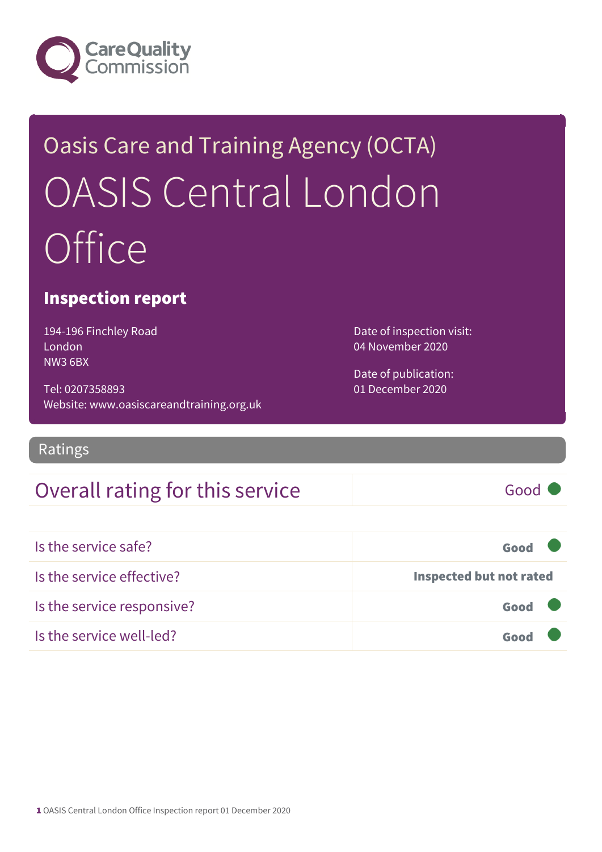

# Oasis Care and Training Agency (OCTA) OASIS Central London **Office**

### Inspection report

194-196 Finchley Road London NW3 6BX

Tel: 0207358893 Website: www.oasiscareandtraining.org.uk Date of inspection visit: 04 November 2020

Date of publication: 01 December 2020

Ratings

### Overall rating for this service Good

| Is the service safe?       | Good                           |
|----------------------------|--------------------------------|
| Is the service effective?  | <b>Inspected but not rated</b> |
| Is the service responsive? | Good                           |
| Is the service well-led?   | Good                           |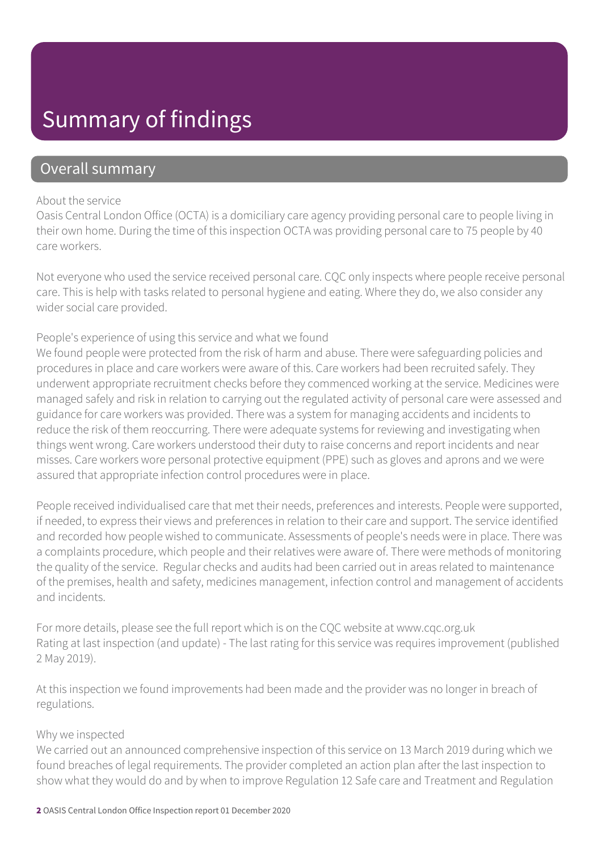### Summary of findings

### Overall summary

#### About the service

Oasis Central London Office (OCTA) is a domiciliary care agency providing personal care to people living in their own home. During the time of this inspection OCTA was providing personal care to 75 people by 40 care workers.

Not everyone who used the service received personal care. CQC only inspects where people receive personal care. This is help with tasks related to personal hygiene and eating. Where they do, we also consider any wider social care provided.

#### People's experience of using this service and what we found

We found people were protected from the risk of harm and abuse. There were safeguarding policies and procedures in place and care workers were aware of this. Care workers had been recruited safely. They underwent appropriate recruitment checks before they commenced working at the service. Medicines were managed safely and risk in relation to carrying out the regulated activity of personal care were assessed and guidance for care workers was provided. There was a system for managing accidents and incidents to reduce the risk of them reoccurring. There were adequate systems for reviewing and investigating when things went wrong. Care workers understood their duty to raise concerns and report incidents and near misses. Care workers wore personal protective equipment (PPE) such as gloves and aprons and we were assured that appropriate infection control procedures were in place.

People received individualised care that met their needs, preferences and interests. People were supported, if needed, to express their views and preferences in relation to their care and support. The service identified and recorded how people wished to communicate. Assessments of people's needs were in place. There was a complaints procedure, which people and their relatives were aware of. There were methods of monitoring the quality of the service. Regular checks and audits had been carried out in areas related to maintenance of the premises, health and safety, medicines management, infection control and management of accidents and incidents.

For more details, please see the full report which is on the CQC website at www.cqc.org.uk Rating at last inspection (and update) - The last rating for this service was requires improvement (published 2 May 2019).

At this inspection we found improvements had been made and the provider was no longer in breach of regulations.

#### Why we inspected

We carried out an announced comprehensive inspection of this service on 13 March 2019 during which we found breaches of legal requirements. The provider completed an action plan after the last inspection to show what they would do and by when to improve Regulation 12 Safe care and Treatment and Regulation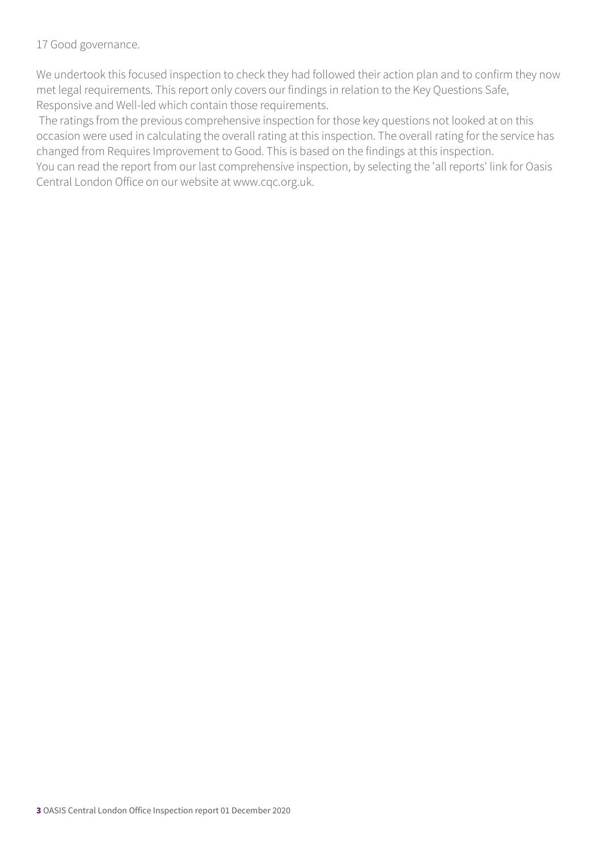#### 17 Good governance.

We undertook this focused inspection to check they had followed their action plan and to confirm they now met legal requirements. This report only covers our findings in relation to the Key Questions Safe, Responsive and Well-led which contain those requirements.

 The ratings from the previous comprehensive inspection for those key questions not looked at on this occasion were used in calculating the overall rating at this inspection. The overall rating for the service has changed from Requires Improvement to Good. This is based on the findings at this inspection.

You can read the report from our last comprehensive inspection, by selecting the 'all reports' link for Oasis Central London Office on our website at www.cqc.org.uk.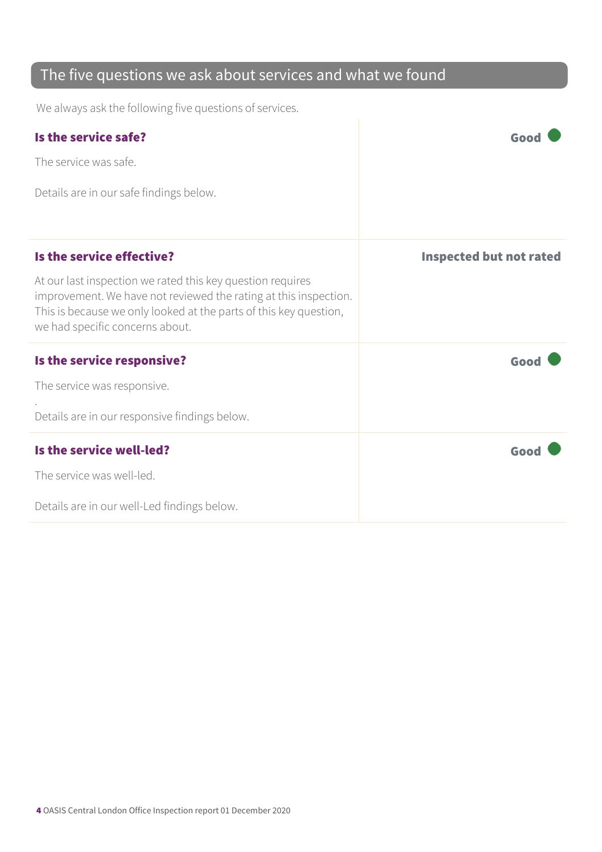### The five questions we ask about services and what we found

We always ask the following five questions of services.

| Is the service safe?                                                                                                                                                                                                                   | Goo                            |
|----------------------------------------------------------------------------------------------------------------------------------------------------------------------------------------------------------------------------------------|--------------------------------|
| The service was safe.                                                                                                                                                                                                                  |                                |
| Details are in our safe findings below.                                                                                                                                                                                                |                                |
| Is the service effective?                                                                                                                                                                                                              | <b>Inspected but not rated</b> |
| At our last inspection we rated this key question requires<br>improvement. We have not reviewed the rating at this inspection.<br>This is because we only looked at the parts of this key question,<br>we had specific concerns about. |                                |
| Is the service responsive?                                                                                                                                                                                                             | Good                           |
| The service was responsive.                                                                                                                                                                                                            |                                |
| Details are in our responsive findings below.                                                                                                                                                                                          |                                |
| Is the service well-led?                                                                                                                                                                                                               | Good                           |
| The service was well-led.                                                                                                                                                                                                              |                                |
| Details are in our well-Led findings below.                                                                                                                                                                                            |                                |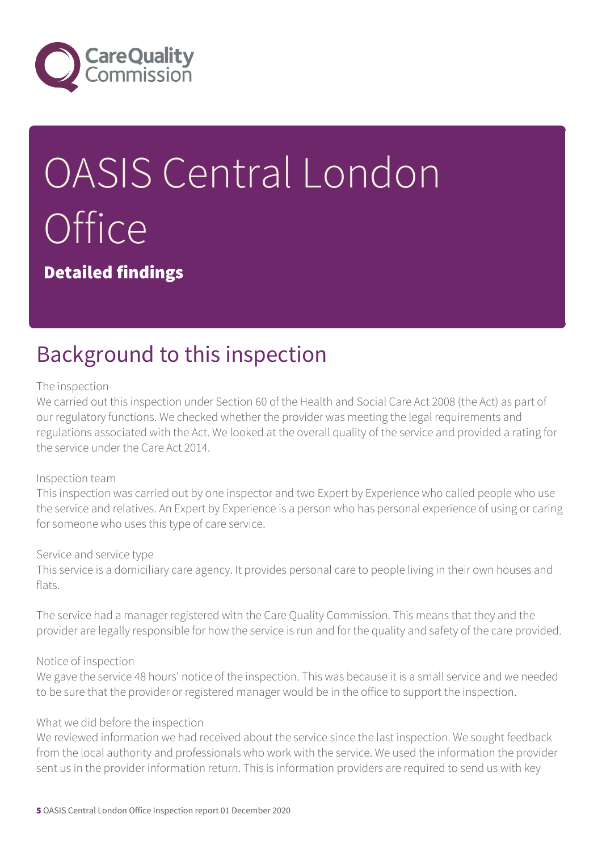

# OASIS Central London **Office**

Detailed findings

## Background to this inspection

#### The inspection

We carried out this inspection under Section 60 of the Health and Social Care Act 2008 (the Act) as part of our regulatory functions. We checked whether the provider was meeting the legal requirements and regulations associated with the Act. We looked at the overall quality of the service and provided a rating for the service under the Care Act 2014.

#### Inspection team

This inspection was carried out by one inspector and two Expert by Experience who called people who use the service and relatives. An Expert by Experience is a person who has personal experience of using or caring for someone who uses this type of care service.

#### Service and service type

This service is a domiciliary care agency. It provides personal care to people living in their own houses and flats.

The service had a manager registered with the Care Quality Commission. This means that they and the provider are legally responsible for how the service is run and for the quality and safety of the care provided.

#### Notice of inspection

We gave the service 48 hours' notice of the inspection. This was because it is a small service and we needed to be sure that the provider or registered manager would be in the office to support the inspection.

#### What we did before the inspection

We reviewed information we had received about the service since the last inspection. We sought feedback from the local authority and professionals who work with the service. We used the information the provider sent us in the provider information return. This is information providers are required to send us with key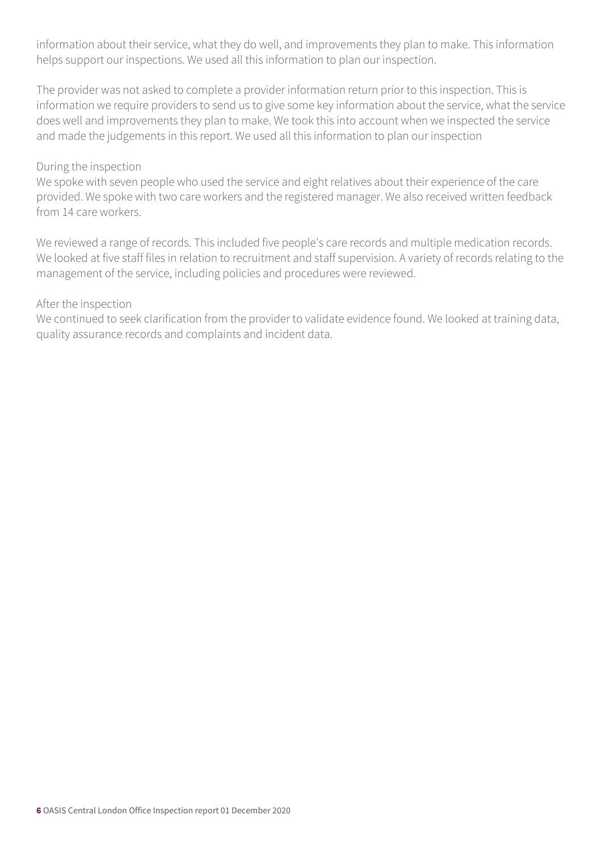information about their service, what they do well, and improvements they plan to make. This information helps support our inspections. We used all this information to plan our inspection.

The provider was not asked to complete a provider information return prior to this inspection. This is information we require providers to send us to give some key information about the service, what the service does well and improvements they plan to make. We took this into account when we inspected the service and made the judgements in this report. We used all this information to plan our inspection

#### During the inspection

We spoke with seven people who used the service and eight relatives about their experience of the care provided. We spoke with two care workers and the registered manager. We also received written feedback from 14 care workers.

We reviewed a range of records. This included five people's care records and multiple medication records. We looked at five staff files in relation to recruitment and staff supervision. A variety of records relating to the management of the service, including policies and procedures were reviewed.

#### After the inspection

We continued to seek clarification from the provider to validate evidence found. We looked at training data, quality assurance records and complaints and incident data.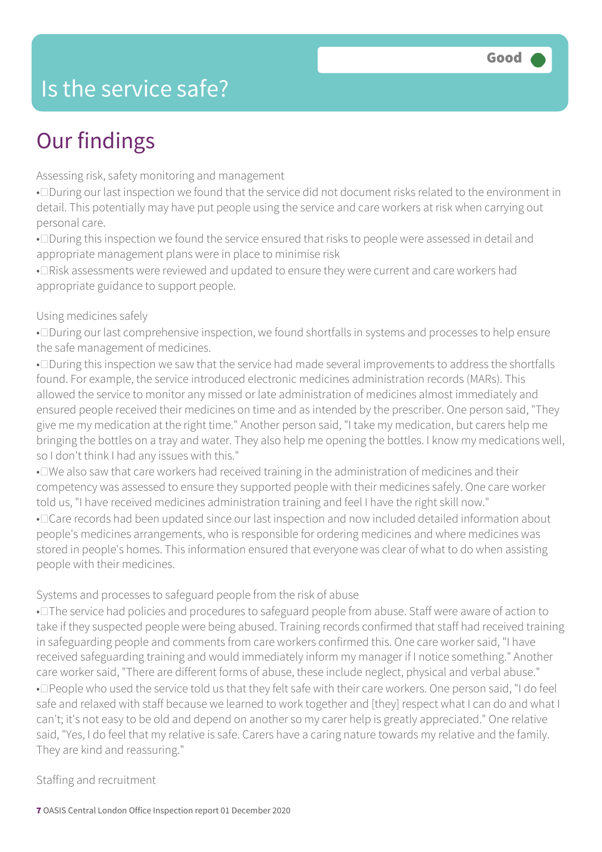### Is the service safe?

## Our findings

Assessing risk, safety monitoring and management

• During our last inspection we found that the service did not document risks related to the environment in detail. This potentially may have put people using the service and care workers at risk when carrying out personal care.

• $\square$ During this inspection we found the service ensured that risks to people were assessed in detail and appropriate management plans were in place to minimise risk

• I Risk assessments were reviewed and updated to ensure they were current and care workers had appropriate guidance to support people.

#### Using medicines safely

• During our last comprehensive inspection, we found shortfalls in systems and processes to help ensure the safe management of medicines.

• During this inspection we saw that the service had made several improvements to address the shortfalls found. For example, the service introduced electronic medicines administration records (MARs). This allowed the service to monitor any missed or late administration of medicines almost immediately and ensured people received their medicines on time and as intended by the prescriber. One person said, "They give me my medication at the right time." Another person said, "I take my medication, but carers help me bringing the bottles on a tray and water. They also help me opening the bottles. I know my medications well, so I don't think I had any issues with this."

• DWe also saw that care workers had received training in the administration of medicines and their competency was assessed to ensure they supported people with their medicines safely. One care worker told us, "I have received medicines administration training and feel I have the right skill now." • Care records had been updated since our last inspection and now included detailed information about people's medicines arrangements, who is responsible for ordering medicines and where medicines was stored in people's homes. This information ensured that everyone was clear of what to do when assisting people with their medicines.

#### Systems and processes to safeguard people from the risk of abuse

• $\square$  The service had policies and procedures to safeguard people from abuse. Staff were aware of action to take if they suspected people were being abused. Training records confirmed that staff had received training in safeguarding people and comments from care workers confirmed this. One care worker said, "I have received safeguarding training and would immediately inform my manager if I notice something." Another care worker said, "There are different forms of abuse, these include neglect, physical and verbal abuse." • Deople who used the service told us that they felt safe with their care workers. One person said, "I do feel safe and relaxed with staff because we learned to work together and [they] respect what I can do and what I can't; it's not easy to be old and depend on another so my carer help is greatly appreciated." One relative said, "Yes, I do feel that my relative is safe. Carers have a caring nature towards my relative and the family. They are kind and reassuring."

#### Staffing and recruitment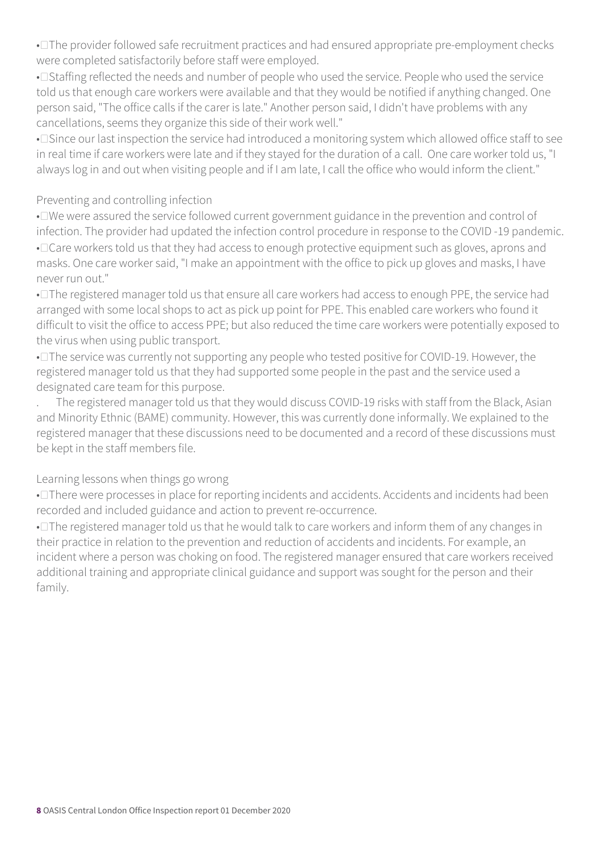• $\square$  The provider followed safe recruitment practices and had ensured appropriate pre-employment checks were completed satisfactorily before staff were employed.

• I Staffing reflected the needs and number of people who used the service. People who used the service told us that enough care workers were available and that they would be notified if anything changed. One person said, "The office calls if the carer is late." Another person said, I didn't have problems with any cancellations, seems they organize this side of their work well."

• Since our last inspection the service had introduced a monitoring system which allowed office staff to see in real time if care workers were late and if they stayed for the duration of a call. One care worker told us, "I always log in and out when visiting people and if I am late, I call the office who would inform the client."

#### Preventing and controlling infection

• I've were assured the service followed current government guidance in the prevention and control of infection. The provider had updated the infection control procedure in response to the COVID -19 pandemic. • Care workers told us that they had access to enough protective equipment such as gloves, aprons and masks. One care worker said, "I make an appointment with the office to pick up gloves and masks, I have never run out."

• $\square$  The registered manager told us that ensure all care workers had access to enough PPE, the service had arranged with some local shops to act as pick up point for PPE. This enabled care workers who found it difficult to visit the office to access PPE; but also reduced the time care workers were potentially exposed to the virus when using public transport.

• $\square$  The service was currently not supporting any people who tested positive for COVID-19. However, the registered manager told us that they had supported some people in the past and the service used a designated care team for this purpose.

. The registered manager told us that they would discuss COVID-19 risks with staff from the Black, Asian and Minority Ethnic (BAME) community. However, this was currently done informally. We explained to the registered manager that these discussions need to be documented and a record of these discussions must be kept in the staff members file.

#### Learning lessons when things go wrong

• There were processes in place for reporting incidents and accidents. Accidents and incidents had been recorded and included guidance and action to prevent re-occurrence.

• $\square$  The registered manager told us that he would talk to care workers and inform them of any changes in their practice in relation to the prevention and reduction of accidents and incidents. For example, an incident where a person was choking on food. The registered manager ensured that care workers received additional training and appropriate clinical guidance and support was sought for the person and their family.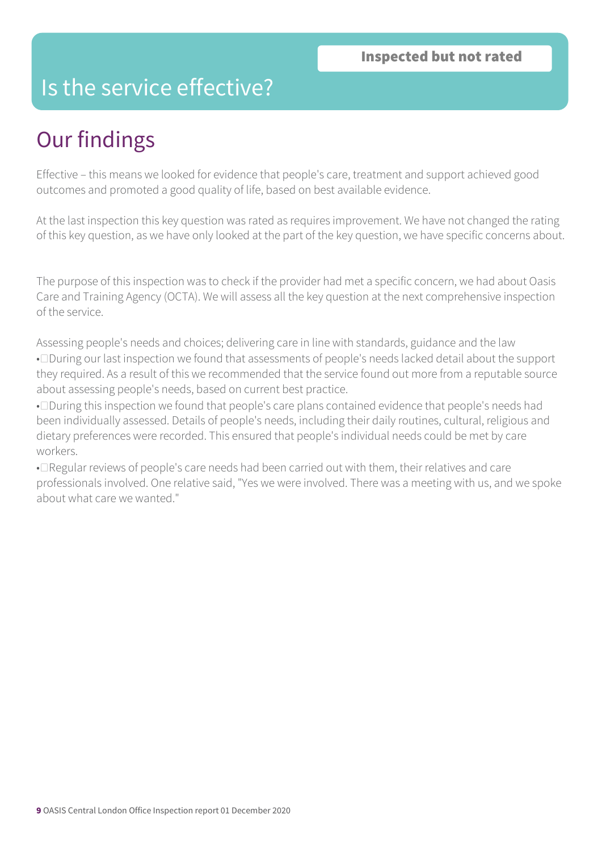### Is the service effective?

### Our findings

Effective – this means we looked for evidence that people's care, treatment and support achieved good outcomes and promoted a good quality of life, based on best available evidence.

At the last inspection this key question was rated as requires improvement. We have not changed the rating of this key question, as we have only looked at the part of the key question, we have specific concerns about.

The purpose of this inspection was to check if the provider had met a specific concern, we had about Oasis Care and Training Agency (OCTA). We will assess all the key question at the next comprehensive inspection of the service.

Assessing people's needs and choices; delivering care in line with standards, guidance and the law • During our last inspection we found that assessments of people's needs lacked detail about the support they required. As a result of this we recommended that the service found out more from a reputable source about assessing people's needs, based on current best practice.

• During this inspection we found that people's care plans contained evidence that people's needs had been individually assessed. Details of people's needs, including their daily routines, cultural, religious and dietary preferences were recorded. This ensured that people's individual needs could be met by care workers.

• Regular reviews of people's care needs had been carried out with them, their relatives and care professionals involved. One relative said, "Yes we were involved. There was a meeting with us, and we spoke about what care we wanted."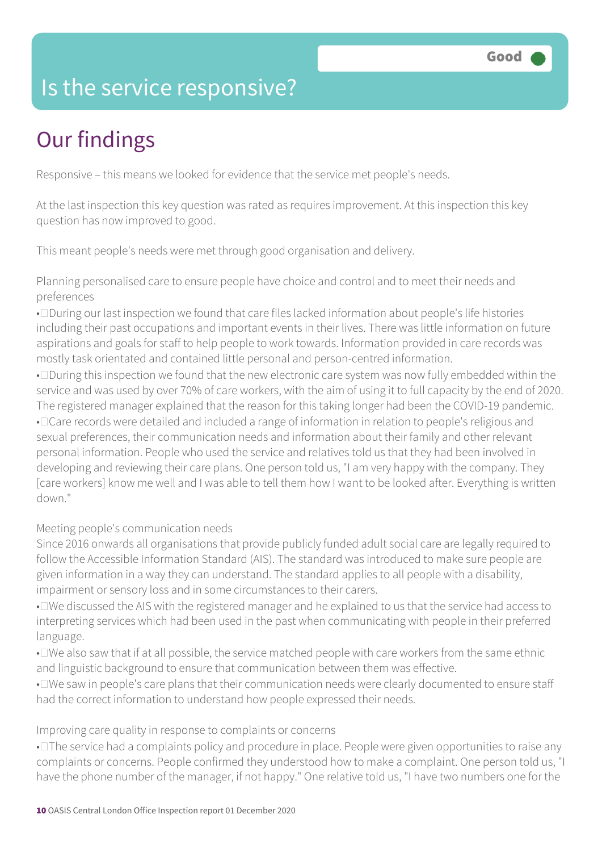## Is the service responsive?

# Our findings

Responsive – this means we looked for evidence that the service met people's needs.

At the last inspection this key question was rated as requires improvement. At this inspection this key question has now improved to good.

This meant people's needs were met through good organisation and delivery.

Planning personalised care to ensure people have choice and control and to meet their needs and preferences

• During our last inspection we found that care files lacked information about people's life histories including their past occupations and important events in their lives. There was little information on future aspirations and goals for staff to help people to work towards. Information provided in care records was mostly task orientated and contained little personal and person-centred information.

• During this inspection we found that the new electronic care system was now fully embedded within the service and was used by over 70% of care workers, with the aim of using it to full capacity by the end of 2020. The registered manager explained that the reason for this taking longer had been the COVID-19 pandemic. • Care records were detailed and included a range of information in relation to people's religious and sexual preferences, their communication needs and information about their family and other relevant personal information. People who used the service and relatives told us that they had been involved in developing and reviewing their care plans. One person told us, "I am very happy with the company. They [care workers] know me well and I was able to tell them how I want to be looked after. Everything is written down."

Meeting people's communication needs

Since 2016 onwards all organisations that provide publicly funded adult social care are legally required to follow the Accessible Information Standard (AIS). The standard was introduced to make sure people are given information in a way they can understand. The standard applies to all people with a disability, impairment or sensory loss and in some circumstances to their carers.

• I've discussed the AIS with the registered manager and he explained to us that the service had access to interpreting services which had been used in the past when communicating with people in their preferred language.

• I've also saw that if at all possible, the service matched people with care workers from the same ethnic and linguistic background to ensure that communication between them was effective.

• Twe saw in people's care plans that their communication needs were clearly documented to ensure staff had the correct information to understand how people expressed their needs.

#### Improving care quality in response to complaints or concerns

• $\square$  The service had a complaints policy and procedure in place. People were given opportunities to raise any complaints or concerns. People confirmed they understood how to make a complaint. One person told us, "I have the phone number of the manager, if not happy." One relative told us, "I have two numbers one for the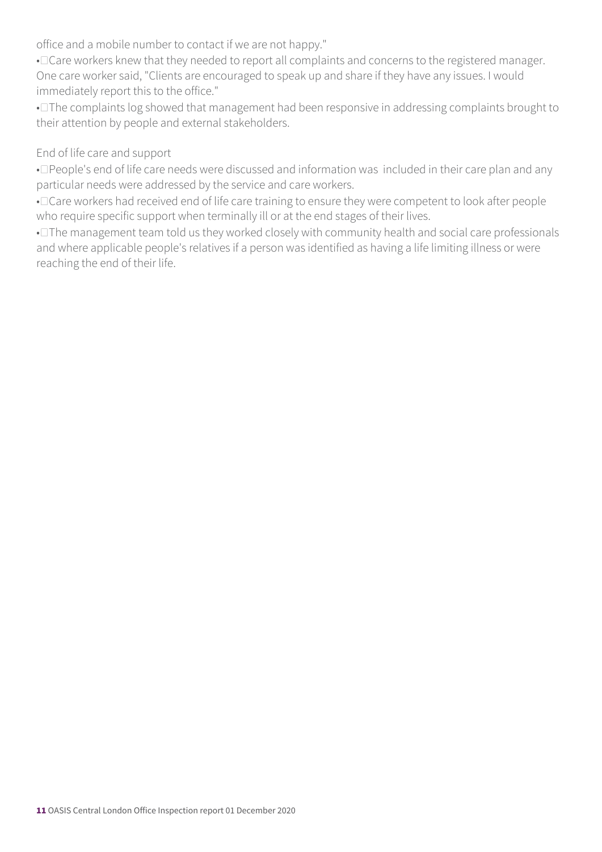office and a mobile number to contact if we are not happy."

• Care workers knew that they needed to report all complaints and concerns to the registered manager. One care worker said, "Clients are encouraged to speak up and share if they have any issues. I would immediately report this to the office."

• The complaints log showed that management had been responsive in addressing complaints brought to their attention by people and external stakeholders.

#### End of life care and support

• Deople's end of life care needs were discussed and information was included in their care plan and any particular needs were addressed by the service and care workers.

• Care workers had received end of life care training to ensure they were competent to look after people who require specific support when terminally ill or at the end stages of their lives.

• $\square$  The management team told us they worked closely with community health and social care professionals and where applicable people's relatives if a person was identified as having a life limiting illness or were reaching the end of their life.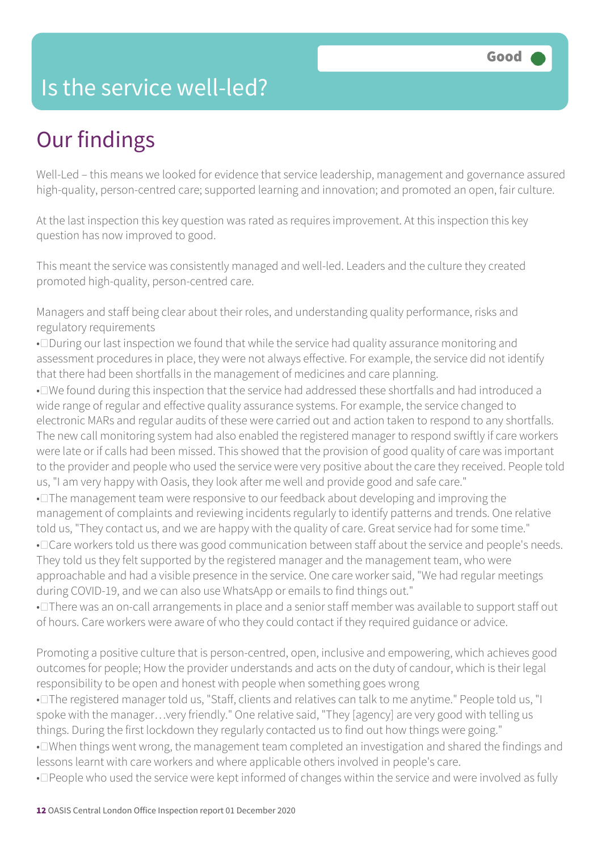### Is the service well-led?

# Our findings

Well-Led – this means we looked for evidence that service leadership, management and governance assured high-quality, person-centred care; supported learning and innovation; and promoted an open, fair culture.

At the last inspection this key question was rated as requires improvement. At this inspection this key question has now improved to good.

This meant the service was consistently managed and well-led. Leaders and the culture they created promoted high-quality, person-centred care.

Managers and staff being clear about their roles, and understanding quality performance, risks and regulatory requirements

• During our last inspection we found that while the service had quality assurance monitoring and assessment procedures in place, they were not always effective. For example, the service did not identify that there had been shortfalls in the management of medicines and care planning.

• I've found during this inspection that the service had addressed these shortfalls and had introduced a wide range of regular and effective quality assurance systems. For example, the service changed to electronic MARs and regular audits of these were carried out and action taken to respond to any shortfalls. The new call monitoring system had also enabled the registered manager to respond swiftly if care workers were late or if calls had been missed. This showed that the provision of good quality of care was important to the provider and people who used the service were very positive about the care they received. People told us, "I am very happy with Oasis, they look after me well and provide good and safe care."

• $\square$  The management team were responsive to our feedback about developing and improving the management of complaints and reviewing incidents regularly to identify patterns and trends. One relative told us, "They contact us, and we are happy with the quality of care. Great service had for some time." • Care workers told us there was good communication between staff about the service and people's needs. They told us they felt supported by the registered manager and the management team, who were approachable and had a visible presence in the service. One care worker said, "We had regular meetings during COVID-19, and we can also use WhatsApp or emails to find things out."

• There was an on-call arrangements in place and a senior staff member was available to support staff out of hours. Care workers were aware of who they could contact if they required guidance or advice.

Promoting a positive culture that is person-centred, open, inclusive and empowering, which achieves good outcomes for people; How the provider understands and acts on the duty of candour, which is their legal responsibility to be open and honest with people when something goes wrong

• The registered manager told us, "Staff, clients and relatives can talk to me anytime." People told us, "I spoke with the manager...very friendly." One relative said, "They [agency] are very good with telling us things. During the first lockdown they regularly contacted us to find out how things were going."

• I When things went wrong, the management team completed an investigation and shared the findings and lessons learnt with care workers and where applicable others involved in people's care.

• Deople who used the service were kept informed of changes within the service and were involved as fully